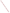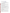# **Consumer Factsheet on: SELENIUM**

[List of Contaminants](http://www.epa.gov/safewater/hfacts.html) 

 As part of the Drinking Water and Health pages, this fact sheet is part of a larger publication: **National Primary Drinking Water Regulations** 

 States Environmental Protection Agency (EPA). This is a factsheet about a chemical that may be found in some public or private drinking water supplies. It may cause health problems if found in amounts greater than the health standard set by the United

## **What is Selenium and how is it used?**

 Selenium is a metal found in natural deposits as ores containing other elements. The greatest use of selenium compounds is in electronic and photocopier components, but they are also widely used in glass, pigments, rubber, metal alloys, textiles, petroleum, medical therapeutic agents, and photographic emulsions.

## **Why is Selenium being regulated?**

 based solely on possible health risks and exposure, are called Maximum Contaminant Level Goals. In 1974, Congress passed the Safe Drinking Water Act. This law requires EPA to determine safe levels of chemicals in drinking water which do or may cause health problems. These non-enforceable levels,

 protection would not cause any of the potential health problems described below. The MCLG for selenium has been set at 0.05 parts per million (ppm) because EPA believes this level of

 Based on this MCLG, EPA has set an enforceable standard called a Maximum Contaminant Level (MCL). MCLs are set as close to the MCLGs as possible, considering the ability of public water systems to detect and remove contaminants using suitable treatment technologies.

 it occur in drinking water. The MCL has been set at 0.05 ppm because EPA believes, given present technology and resources, this is the lowest level to which water systems can reasonably be required to remove this contaminant should

These drinking water standards and the regulations for ensuring these standards are met, are called National Primary Drinking Water Regulations. All public water supplies must abide by these regulations.

## **What are the health effects?**

Short-term: Selenium is an essential nutrient at low levels. However, EPA has found selenium to potentially cause the following health effects when people are exposed to it at levels above the MCL for relatively short periods of time: hair and fingernail changes; damage to the peripheral nervous system; fatigue and irritability.

 Long-term: Selenium has the potential to cause the following effects from a lifetime exposure at levels above the MCL: hair and fingernail loss; damage to kidney and liver tissue, and the nervous and circulatory systems.

## **How much Selenium is produced and released to the environment?**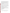during the combustion of coal and petroleum fuels, and during the smelting and refining of other metals. Production in 1985 was reported to be 429,515 pounds. Selenium compounds are released to the air

 From 1987 to 1993, according to the Toxics Release Inventory selenium releases to land and water releases occurred in Utah. The largest direct releases to water occurred in Indiana. totaled over 1 million lbs. These releases were primarily from copper smelting industries. The largest

### **What happens to Selenium when it is released to the environment?**

 The toxicity of selenium depends on whether it is in the biologically active oxidized form, which occurs in alkaline soils. These conditions can cause plant uptake of the metal to be increased. It is known that selenium accumulates in living tissues.

#### **How will Selenium be detected in and removed from my drinking water?**

 The regulation for selenium became effective in 1992. Between 1993 and 1995, EPA required your water supplier to collect water samples once and analyze them to find out if selenium is present above 0.05 ppm. If it is present above this level, the system must continue to monitor this contaminant every 3 months.

If contaminant levels are found to be consistently above the MCL, your water supplier must take steps to reduce the amount of selenium so that it is consistently below that level. The following treatment methods have been approved by EPA for removing selenium: Activated Alumina, Coagulation/Filtration, Lime Softening, Reverse Osmosis.

## **How will I know if Selenium is in my drinking water?**

If the levels of selenium exceed the MCL, the system must notify the public via newspapers, radio, TV and other means. Additional actions, such as providing alternative drinking water supplies, may be required to prevent serious risks to public health.

 States Environmental Protection Agency (EPA). This is a factsheet about a chemical that may be found in some public or private drinking water supplies. It may cause health problems if found in amounts greater than the health standard set by the United

## **Drinking Water Standards:**

MCLG: 0.05 ppm

MCL: 0.05 ppm

## **Selenium Releases to Water and Land, 1987 to 1993 (in pounds):**

|               | Water  | Land      |
|---------------|--------|-----------|
| <b>TOTALS</b> | 13,556 | 1,010,686 |